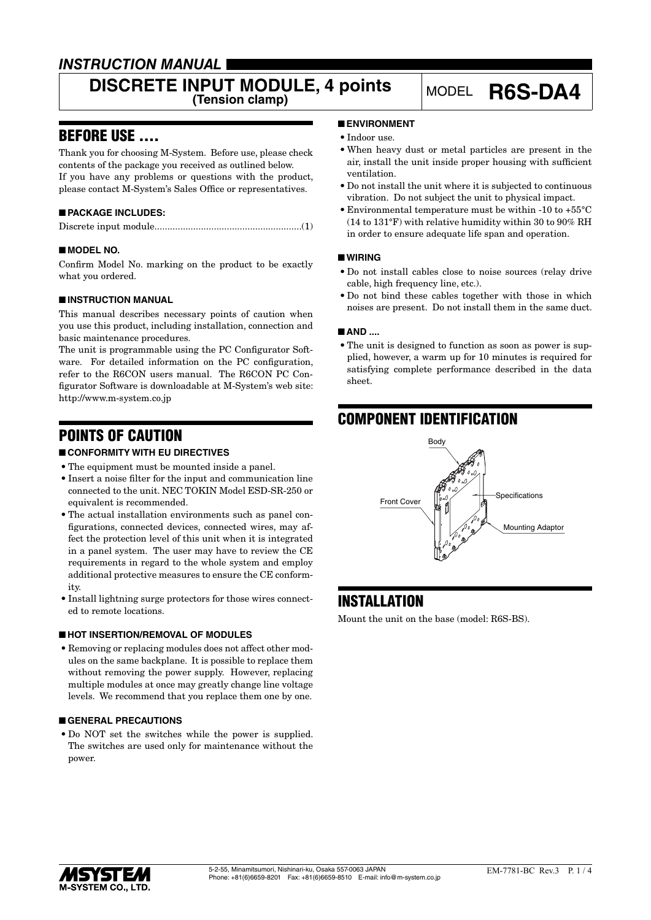# *INSTRUCTION MANUAL*

# **DISCRETE INPUT MODULE, 4 points** MODEL **R6S-DA4**

# BEFORE USE ....

Thank you for choosing M-System. Before use, please check contents of the package you received as outlined below. If you have any problems or questions with the product, please contact M-System's Sales Office or representatives.

### ■ **PACKAGE INCLUDES:**

|--|--|

#### ■ **MODEL NO.**

Confirm Model No. marking on the product to be exactly what you ordered.

#### ■ **INSTRUCTION MANUAL**

This manual describes necessary points of caution when you use this product, including installation, connection and basic maintenance procedures.

The unit is programmable using the PC Configurator Software. For detailed information on the PC configuration, refer to the R6CON users manual. The R6CON PC Configurator Software is downloadable at M-System's web site: http://www.m-system.co.jp

# POINTS OF CAUTION

#### ■ **CONFORMITY WITH EU DIRECTIVES**

- The equipment must be mounted inside a panel.
- • Insert a noise filter for the input and communication line connected to the unit. NEC TOKIN Model ESD-SR-250 or equivalent is recommended.
- The actual installation environments such as panel configurations, connected devices, connected wires, may affect the protection level of this unit when it is integrated in a panel system. The user may have to review the CE requirements in regard to the whole system and employ additional protective measures to ensure the CE conformity.
- Install lightning surge protectors for those wires connected to remote locations.

#### ■ **HOT INSERTION/REMOVAL OF MODULES**

• Removing or replacing modules does not affect other modules on the same backplane. It is possible to replace them without removing the power supply. However, replacing multiple modules at once may greatly change line voltage levels. We recommend that you replace them one by one.

#### ■ **GENERAL PRECAUTIONS**

• Do NOT set the switches while the power is supplied. The switches are used only for maintenance without the power.

#### ■ **ENVIRONMENT**

- Indoor use.
- • When heavy dust or metal particles are present in the air, install the unit inside proper housing with sufficient ventilation.
- • Do not install the unit where it is subjected to continuous vibration. Do not subject the unit to physical impact.
- • Environmental temperature must be within -10 to +55°C (14 to 131°F) with relative humidity within 30 to 90% RH in order to ensure adequate life span and operation.

#### ■ **WIRING**

- • Do not install cables close to noise sources (relay drive cable, high frequency line, etc.).
- • Do not bind these cables together with those in which noises are present. Do not install them in the same duct.

#### ■ **AND** ....

• The unit is designed to function as soon as power is supplied, however, a warm up for 10 minutes is required for satisfying complete performance described in the data sheet.

# COMPONENT IDENTIFICATION



# INSTALLATION

Mount the unit on the base (model: R6S-BS).

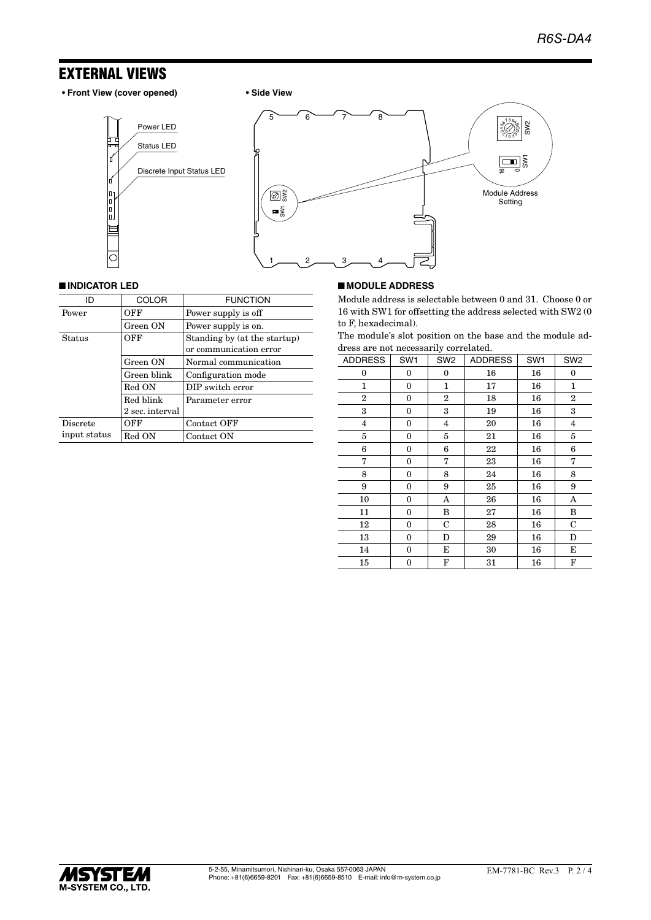# EXTERNAL VIEWS

- **Front View (cover opened) Side View**
	-



#### ■ **INDICATOR LED**

| ID              | <b>COLOR</b>    | <b>FUNCTION</b>              |  |
|-----------------|-----------------|------------------------------|--|
| Power           | OFF             | Power supply is off          |  |
|                 | Green ON        | Power supply is on.          |  |
| <b>Status</b>   | OFF             | Standing by (at the startup) |  |
|                 |                 | or communication error       |  |
|                 | Green ON        | Normal communication         |  |
|                 | Green blink     | Configuration mode           |  |
|                 | Red ON          | DIP switch error             |  |
|                 | Red blink       | Parameter error              |  |
|                 | 2 sec. interval |                              |  |
| <b>Discrete</b> | OFF             | Contact OFF                  |  |
| input status    | Red ON          | Contact ON                   |  |

#### ■ **MODULE ADDRESS**

Module address is selectable between 0 and 31. Choose 0 or 16 with SW1 for offsetting the address selected with SW2 (0 to F, hexadecimal).

The module's slot position on the base and the module address are not necessarily correlated.

| <b>ADDRESS</b> | SW <sub>1</sub> | SW <sub>2</sub> | <b>ADDRESS</b> | SW <sub>1</sub> | SW <sub>2</sub> |
|----------------|-----------------|-----------------|----------------|-----------------|-----------------|
| 0              | 0               | 0               | 16             | 16              | 0               |
| 1              | 0               | 1               | 17             | 16              | $\mathbf{1}$    |
| $\overline{2}$ | 0               | $\overline{2}$  | 18             | 16              | $\overline{2}$  |
| 3              | 0               | 3               | 19             | 16              | 3               |
| $\overline{4}$ | 0               | 4               | 20             | 16              | $\overline{4}$  |
| 5              | 0               | 5               | 21             | 16              | 5               |
| 6              | $\bf{0}$        | 6               | 22             | 16              | 6               |
| 7              | 0               | 7               | 23             | 16              | 7               |
| 8              | 0               | 8               | 24             | 16              | 8               |
| 9              | $\bf{0}$        | 9               | 25             | 16              | 9               |
| 10             | 0               | A               | 26             | 16              | A               |
| 11             | $\bf{0}$        | B               | 27             | 16              | B               |
| 12             | 0               | $\mathbf C$     | 28             | 16              | $\mathbf C$     |
| 13             | $\bf{0}$        | D               | 29             | 16              | D               |
| 14             | $\bf{0}$        | E               | 30             | 16              | Е               |
| 15             | 0               | F               | 31             | 16              | F               |

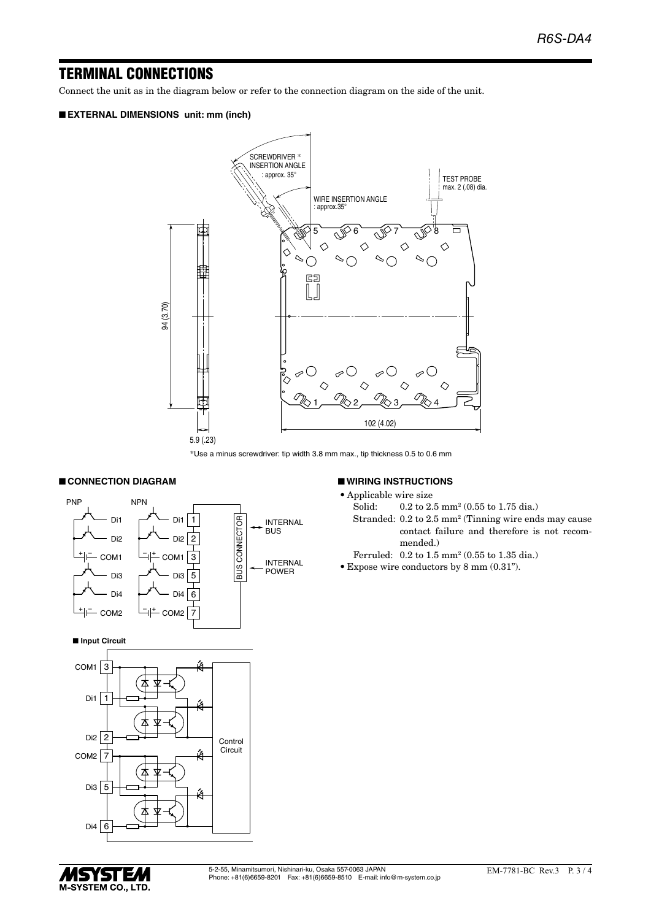## TERMINAL CONNECTIONS

Connect the unit as in the diagram below or refer to the connection diagram on the side of the unit.

#### ■ **EXTERNAL DIMENSIONS unit: mm (inch)**



\*Use a minus screwdriver: tip width 3.8 mm max., tip thickness 0.5 to 0.6 mm

#### ■ **CONNECTION DIAGRAM**



#### ■ **WIRING INSTRUCTIONS**

- • Applicable wire size
- Solid: 0.2 to 2.5 mm<sup>2</sup> (0.55 to 1.75 dia.)
- Stranded: 0.2 to 2.5 mm<sup>2</sup> (Tinning wire ends may cause contact failure and therefore is not recommended.)
- Ferruled: 0.2 to 1.5 mm2 (0.55 to 1.35 dia.)
- • Expose wire conductors by 8 mm (0.31").